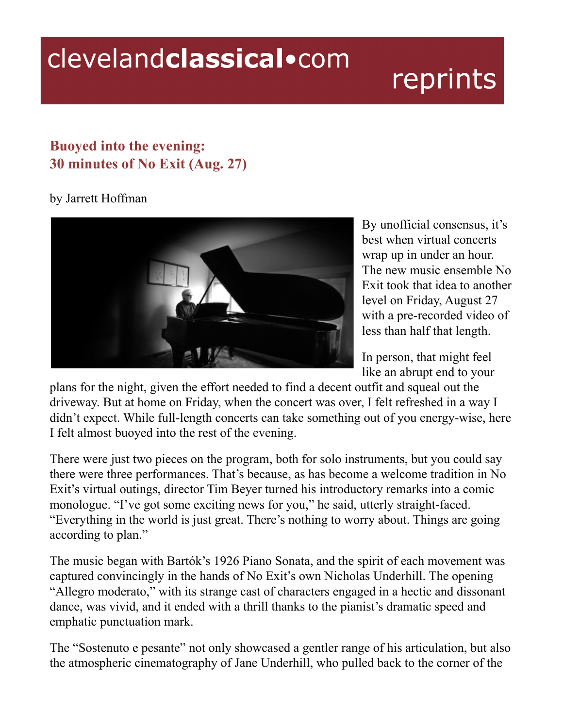## clevelandclassical.com

## reprints

## **Buoyed into the evening: 30 minutes of No Exit (Aug. 27)**

## by Jarrett Hoffman



By unofficial consensus, it's best when virtual concerts wrap up in under an hour. The new music ensemble No Exit took that idea to another level on Friday, August 27 with a pre-recorded video of less than half that length.

In person, that might feel like an abrupt end to your

plans for the night, given the effort needed to find a decent outfit and squeal out the driveway. But at home on Friday, when the concert was over, I felt refreshed in a way I didn't expect. While full-length concerts can take something out of you energy-wise, here I felt almost buoyed into the rest of the evening.

There were just two pieces on the program, both for solo instruments, but you could say there were three performances. That's because, as has become a welcome tradition in No Exit's virtual outings, director Tim Beyer turned his introductory remarks into a comic monologue. "I've got some exciting news for you," he said, utterly straight-faced. "Everything in the world is just great. There's nothing to worry about. Things are going according to plan."

The music began with Bartók's 1926 Piano Sonata, and the spirit of each movement was captured convincingly in the hands of No Exit's own Nicholas Underhill. The opening "Allegro moderato," with its strange cast of characters engaged in a hectic and dissonant dance, was vivid, and it ended with a thrill thanks to the pianist's dramatic speed and emphatic punctuation mark.

The "Sostenuto e pesante" not only showcased a gentler range of his articulation, but also the atmospheric cinematography of Jane Underhill, who pulled back to the corner of the